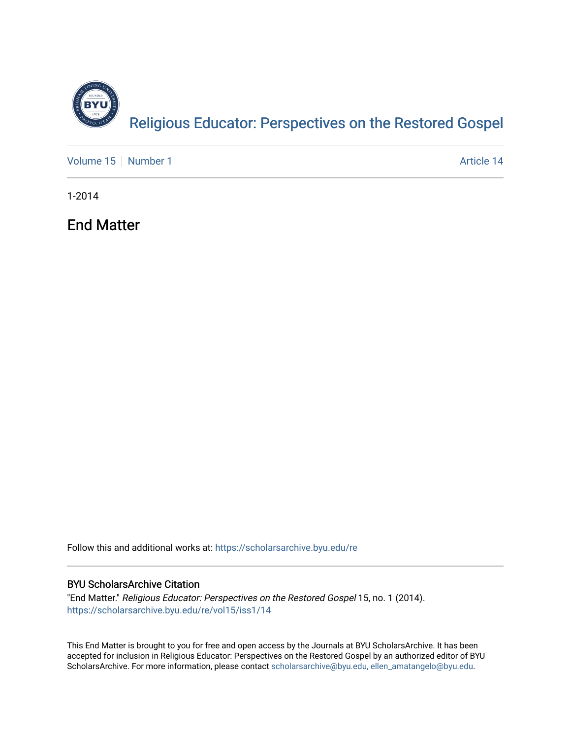

[Volume 15](https://scholarsarchive.byu.edu/re/vol15) [Number 1](https://scholarsarchive.byu.edu/re/vol15/iss1) Article 14

1-2014

End Matter

Follow this and additional works at: [https://scholarsarchive.byu.edu/re](https://scholarsarchive.byu.edu/re?utm_source=scholarsarchive.byu.edu%2Fre%2Fvol15%2Fiss1%2F14&utm_medium=PDF&utm_campaign=PDFCoverPages)

### BYU ScholarsArchive Citation

"End Matter." Religious Educator: Perspectives on the Restored Gospel 15, no. 1 (2014). [https://scholarsarchive.byu.edu/re/vol15/iss1/14](https://scholarsarchive.byu.edu/re/vol15/iss1/14?utm_source=scholarsarchive.byu.edu%2Fre%2Fvol15%2Fiss1%2F14&utm_medium=PDF&utm_campaign=PDFCoverPages) 

This End Matter is brought to you for free and open access by the Journals at BYU ScholarsArchive. It has been accepted for inclusion in Religious Educator: Perspectives on the Restored Gospel by an authorized editor of BYU ScholarsArchive. For more information, please contact [scholarsarchive@byu.edu, ellen\\_amatangelo@byu.edu.](mailto:scholarsarchive@byu.edu,%20ellen_amatangelo@byu.edu)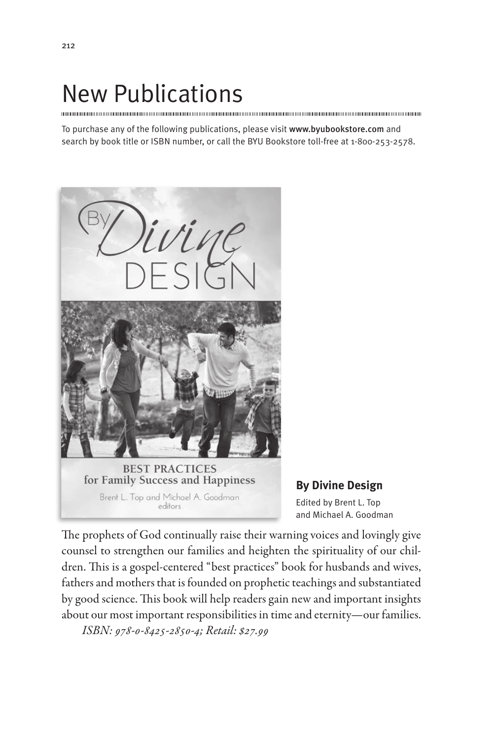# New Publications

To purchase any of the following publications, please visit www.byubookstore.com and search by book title or ISBN number, or call the BYU Bookstore toll-free at 1-800-253-2578.



Brent L. Top and Michael A. Goodman editors

**By Divine Design** Edited by Brent L. Top and Michael A. Goodman

The prophets of God continually raise their warning voices and lovingly give counsel to strengthen our families and heighten the spirituality of our children. This is a gospel-centered "best practices" book for husbands and wives, fathers and mothers that is founded on prophetic teachings and substantiated by good science. This book will help readers gain new and important insights about our most important responsibilities in time and eternity—our families. *ISBN: 978-0-8425-2850-4; Retail: \$27.99*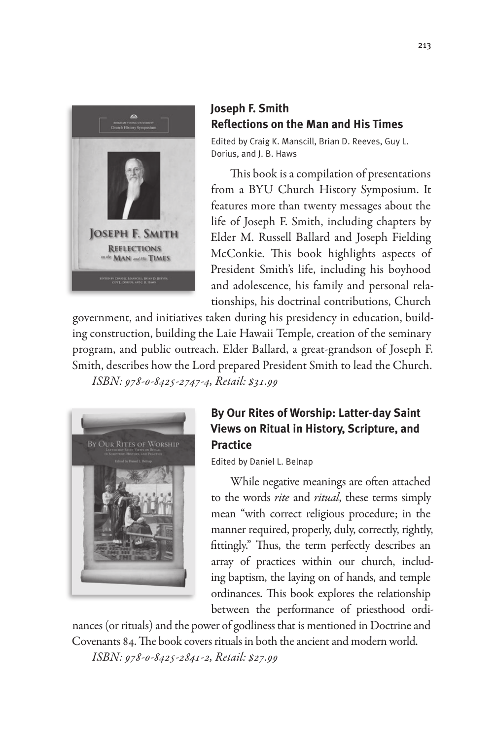

### **Joseph F. Smith Reflections on the Man and His Times**

Edited by Craig K. Manscill, Brian D. Reeves, Guy L. Dorius, and J. B. Haws

This book is a compilation of presentations from a BYU Church History Symposium. It features more than twenty messages about the life of Joseph F. Smith, including chapters by Elder M. Russell Ballard and Joseph Fielding McConkie. This book highlights aspects of President Smith's life, including his boyhood and adolescence, his family and personal relationships, his doctrinal contributions, Church

government, and initiatives taken during his presidency in education, building construction, building the Laie Hawaii Temple, creation of the seminary program, and public outreach. Elder Ballard, a great-grandson of Joseph F. Smith, describes how the Lord prepared President Smith to lead the Church. *ISBN: 978-0-8425-2747-4, Retail: \$31.99*



# **By Our Rites of Worship: Latter-day Saint Views on Ritual in History, Scripture, and Practice**

Edited by Daniel L. Belnap

While negative meanings are often attached to the words *rite* and *ritual*, these terms simply mean "with correct religious procedure; in the manner required, properly, duly, correctly, rightly, fittingly." Thus, the term perfectly describes an array of practices within our church, including baptism, the laying on of hands, and temple ordinances. This book explores the relationship between the performance of priesthood ordi-

nances (or rituals) and the power of godliness that is mentioned in Doctrine and Covenants 84. The book covers rituals in both the ancient and modern world.

*ISBN: 978-0-8425-2841-2, Retail: \$27.99*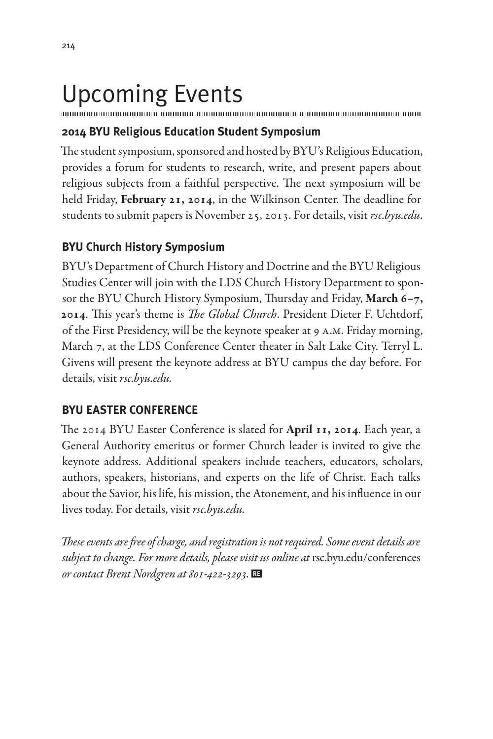# Upcoming Events

## **2014 BYU Religious Education Student Symposium**

The student symposium, sponsored and hosted by BYU's Religious Education, provides a forum for students to research, write, and present papers about religious subjects from a faithful perspective. The next symposium will be held Friday, February 21, 2014, in the Wilkinson Center. The deadline for students to submit papers is November 25, 2013. For details, visit *rsc.byu.edu*.

## **BYU Church History Symposium**

BYU's Department of Church History and Doctrine and the BYU Religious Studies Center will join with the LDS Church History Department to sponsor the BYU Church History Symposium, Thursday and Friday, March 6-7, 2014. This year's theme is *The Global Church*. President Dieter F. Uchtdorf, of the First Presidency, will be the keynote speaker at 9 a.m. Friday morning, March 7, at the LDS Conference Center theater in Salt Lake City. Terryl L. Givens will present the keynote address at BYU campus the day before. For details, visit *rsc.byu.edu.*

## **BYU EASTER CONFERENCE**

The 2014 BYU Easter Conference is slated for **April 11, 2014**. Each year, a General Authority emeritus or former Church leader is invited to give the keynote address. Additional speakers include teachers, educators, scholars, authors, speakers, historians, and experts on the life of Christ. Each talks about the Savior, his life, his mission, the Atonement, and his influence in our lives today. For details, visit *rsc.byu.edu.*

*These events are free of charge, and registration is not required. Some event details are subject to change. For more details, please visit us online at* rsc.byu.edu/conferences *or contact Brent Nordgren at 801-422-3293.*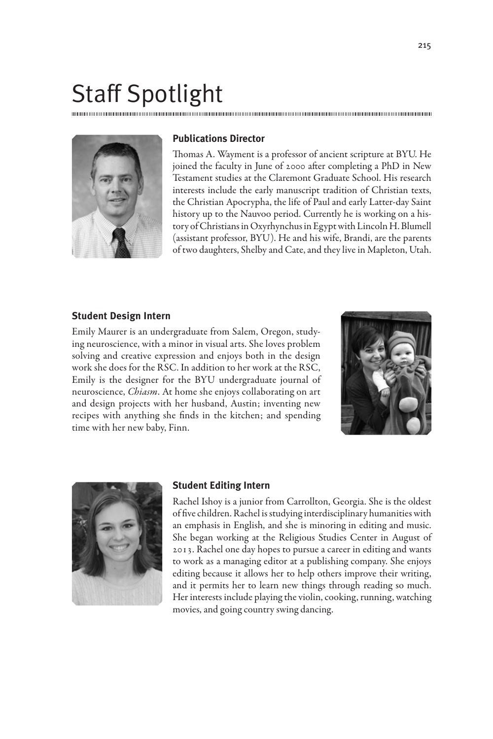# Staff Spotlight



### **Publications Director**

Thomas A. Wayment is a professor of ancient scripture at BYU. He joined the faculty in June of 2000 after completing a PhD in New Testament studies at the Claremont Graduate School. His research interests include the early manuscript tradition of Christian texts, the Christian Apocrypha, the life of Paul and early Latter-day Saint history up to the Nauvoo period. Currently he is working on a history of Christians in Oxyrhynchus in Egypt with Lincoln H. Blumell (assistant professor, BYU). He and his wife, Brandi, are the parents of two daughters, Shelby and Cate, and they live in Mapleton, Utah.

#### **Student Design Intern**

Emily Maurer is an undergraduate from Salem, Oregon, studying neuroscience, with a minor in visual arts. She loves problem solving and creative expression and enjoys both in the design work she does for the RSC. In addition to her work at the RSC, Emily is the designer for the BYU undergraduate journal of neuroscience, *Chiasm*. At home she enjoys collaborating on art and design projects with her husband, Austin; inventing new recipes with anything she finds in the kitchen; and spending time with her new baby, Finn.





#### **Student Editing Intern**

Rachel Ishoy is a junior from Carrollton, Georgia. She is the oldest of five children. Rachel is studying interdisciplinary humanities with an emphasis in English, and she is minoring in editing and music. She began working at the Religious Studies Center in August of 2013. Rachel one day hopes to pursue a career in editing and wants to work as a managing editor at a publishing company. She enjoys editing because it allows her to help others improve their writing, and it permits her to learn new things through reading so much. Her interests include playing the violin, cooking, running, watching movies, and going country swing dancing.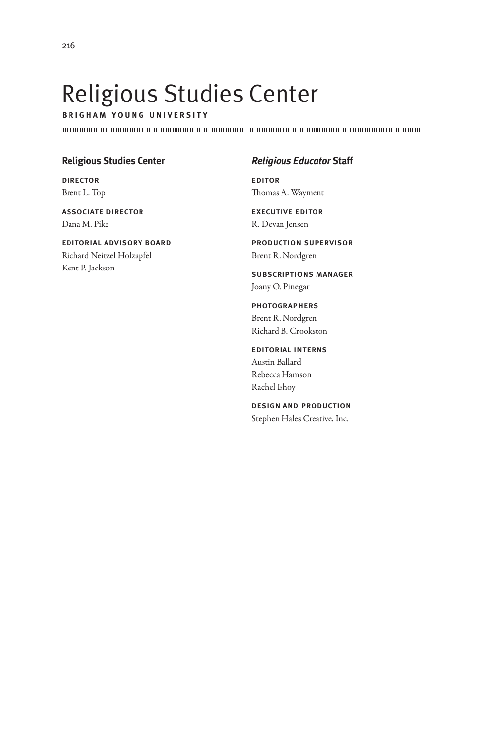# Religious Studies Center

**b r i g h a m y o u n g u n i v e r s i t y**

### **Religious Studies Center**

director Brent L. Top

associate director Dana M. Pike

editorial advisory board Richard Neitzel Holzapfel Kent P. Jackson

### *Religious Educator* **Staff**

editor Thomas A. Wayment

executive editor R. Devan Jensen

production supervisor Brent R. Nordgren

subscriptions manager Joany O. Pinegar

photographers Brent R. Nordgren Richard B. Crookston

editorial interns Austin Ballard Rebecca Hamson Rachel Ishoy

design and production Stephen Hales Creative, Inc.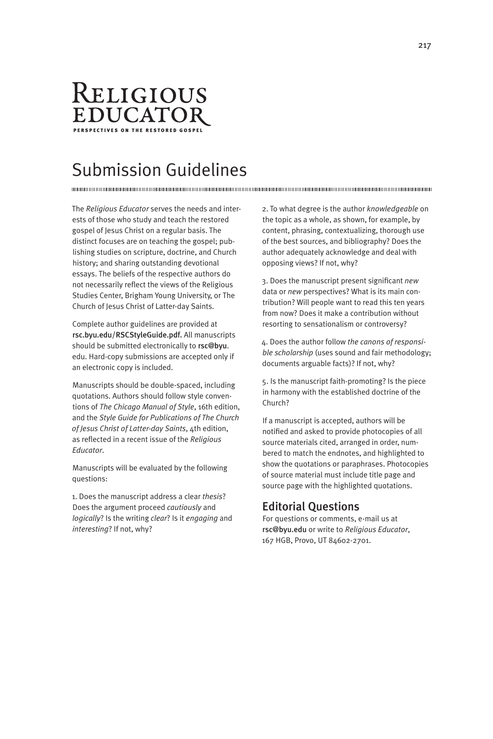

# Submission Guidelines

The *Religious Educator* serves the needs and interests of those who study and teach the restored gospel of Jesus Christ on a regular basis. The distinct focuses are on teaching the gospel; publishing studies on scripture, doctrine, and Church history; and sharing outstanding devotional essays. The beliefs of the respective authors do not necessarily reflect the views of the Religious Studies Center, Brigham Young University, or The Church of Jesus Christ of Latter-day Saints.

Complete author guidelines are provided at rsc.byu.edu/RSCStyleGuide.pdf. All manuscripts should be submitted electronically to rsc@byu. edu. Hard-copy submissions are accepted only if an electronic copy is included.

Manuscripts should be double-spaced, including quotations. Authors should follow style conventions of *The Chicago Manual of Style*, 16th edition, and the *Style Guide for Publications of The Church of Jesus Christ of Latter-day Saints*, 4th edition, as reflected in a recent issue of the *Religious Educator*.

Manuscripts will be evaluated by the following questions:

1. Does the manuscript address a clear *thesis*? Does the argument proceed *cautiously* and *logically*? Is the writing *clear*? Is it *engaging* and *interesting*? If not, why?

2. To what degree is the author *knowledgeable* on the topic as a whole, as shown, for example, by content, phrasing, contextualizing, thorough use of the best sources, and bibliography? Does the author adequately acknowledge and deal with opposing views? If not, why?

3. Does the manuscript present significant *new* data or *new* perspectives? What is its main contribution? Will people want to read this ten years from now? Does it make a contribution without resorting to sensationalism or controversy?

4. Does the author follow *the canons of responsible scholarship* (uses sound and fair methodology; documents arguable facts)? If not, why?

5. Is the manuscript faith-promoting? Is the piece in harmony with the established doctrine of the Church?

If a manuscript is accepted, authors will be notified and asked to provide photocopies of all source materials cited, arranged in order, numbered to match the endnotes, and highlighted to show the quotations or paraphrases. Photocopies of source material must include title page and source page with the highlighted quotations.

### Editorial Questions

For questions or comments, e-mail us at rsc@byu.edu or write to *Religious Educator*, 167 HGB, Provo, UT 84602-2701.